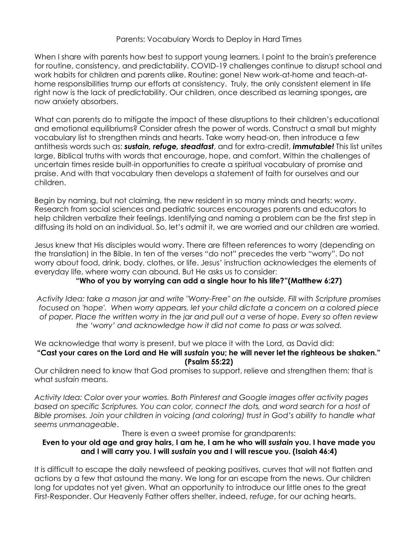#### Parents: Vocabulary Words to Deploy in Hard Times

When I share with parents how best to support young learners, I point to the brain's preference for routine, consistency, and predictability. COVID-19 challenges continue to disrupt school and work habits for children and parents alike. Routine: gone! New work-at-home and teach-athome responsibilities trump our efforts at consistency. Truly, the only consistent element in life right now is the lack of predictability. Our children, once described as learning sponges**,** are now anxiety absorbers.

What can parents do to mitigate the impact of these disruptions to their children's educational and emotional equilibriums? Consider afresh the power of words. Construct a small but mighty vocabulary list to strengthen minds and hearts. Take worry head-on, then introduce a few antithesis words such as: *sustain, refuge, steadfast*, and for extra-credit, *immutable!* This list unites large, Biblical truths with words that encourage, hope, and comfort. Within the challenges of uncertain times reside built-in opportunities to create a spiritual vocabulary of promise and praise. And with that vocabulary then develops a statement of faith for ourselves and our children.

Begin by naming, but not claiming, the new resident in so many minds and hearts: *worry*. Research from social sciences and pediatric sources encourages parents and educators to help children verbalize their feelings. Identifying and naming a problem can be the first step in diffusing its hold on an individual. So, let's admit it, we are worried and our children are worried.

Jesus knew that His disciples would worry. There are fifteen references to worry (depending on the translation) in the Bible. In ten of the verses "do not" precedes the verb "worry". Do not worry about food, drink, body, clothes, or life. Jesus' instruction acknowledges the elements of everyday life, where worry can abound. But He asks us to consider:

## **"Who of you by worrying can add a single hour to his life?"(Matthew 6:27)**

*Activity Idea: take a mason jar and write "Worry-Free" on the outside. Fill with Scripture promises focused on 'hope'. When worry appears, let your child dictate a concern on a colored piece of paper. Place the written worry in the jar and pull out a verse of hope. Every so often review the 'worry' and acknowledge how it did not come to pass or was solved.*

We acknowledge that worry is present, but we place it with the Lord, as David did:

#### **"Cast your cares on the Lord and He will** *sustain* **you; he will never let the righteous be shaken." (Psalm 55:22)**

Our children need to know that God promises to support, relieve and strengthen them; that is what *sustain* means.

*Activity Idea: Color over your worries. Both Pinterest and Google images offer activity pages based on specific Scriptures. You can color, connect the dots, and word search for a host of Bible promises. Join your children in voicing (and coloring) trust in God's ability to handle what seems unmanageable*.

There is even a sweet promise for grandparents:

## **Even to your old age and gray hairs, I am he, I am he who will** *sustain* **you. I have made you and I will carry you. I will** *sustain* **you and I will rescue you. (Isaiah 46:4)**

It is difficult to escape the daily newsfeed of peaking positives, curves that will not flatten and actions by a few that astound the many. We long for an escape from the news. Our children long for updates not yet given. What an opportunity to introduce our little ones to the great First-Responder. Our Heavenly Father offers shelter, indeed, *refuge*, for our aching hearts.